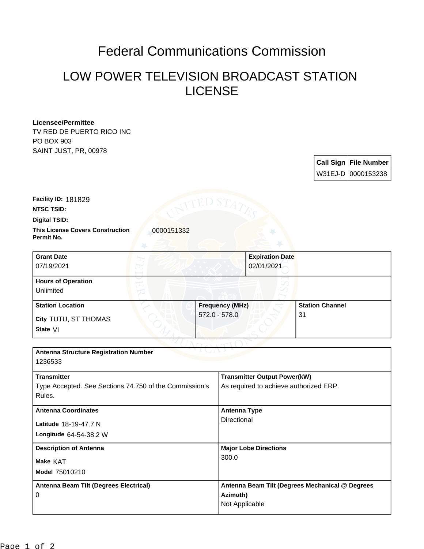## Federal Communications Commission

## LOW POWER TELEVISION BROADCAST STATION LICENSE

## **Licensee/Permittee**

TV RED DE PUERTO RICO INC PO BOX 903 SAINT JUST, PR, 00978

> **Call Sign File Number** W31EJ-D 0000153238

**This License Covers Construction 10000151332 Digital TSID: NTSC TSID: Facility ID:** 181829

**Permit No.**

| <b>Grant Date</b><br>07/19/2021        | <b>Expiration Date</b><br>02/01/2021 |                        |
|----------------------------------------|--------------------------------------|------------------------|
| <b>Hours of Operation</b><br>Unlimited |                                      |                        |
| <b>Station Location</b>                | <b>Frequency (MHz)</b>               | <b>Station Channel</b> |
| City TUTU, ST THOMAS<br>State VI       | $572.0 - 578.0$                      | -31                    |

| <b>Antenna Structure Registration Number</b><br>1236533                                |                                                                               |  |
|----------------------------------------------------------------------------------------|-------------------------------------------------------------------------------|--|
| <b>Transmitter</b><br>Type Accepted. See Sections 74.750 of the Commission's<br>Rules. | <b>Transmitter Output Power(kW)</b><br>As required to achieve authorized ERP. |  |
| <b>Antenna Coordinates</b><br>Latitude 18-19-47.7 N<br>Longitude 64-54-38.2 W          | <b>Antenna Type</b><br>Directional                                            |  |
| <b>Description of Antenna</b><br>Make KAT<br>Model 75010210                            | <b>Major Lobe Directions</b><br>300.0                                         |  |
| Antenna Beam Tilt (Degrees Electrical)<br>0                                            | Antenna Beam Tilt (Degrees Mechanical @ Degrees<br>Azimuth)<br>Not Applicable |  |